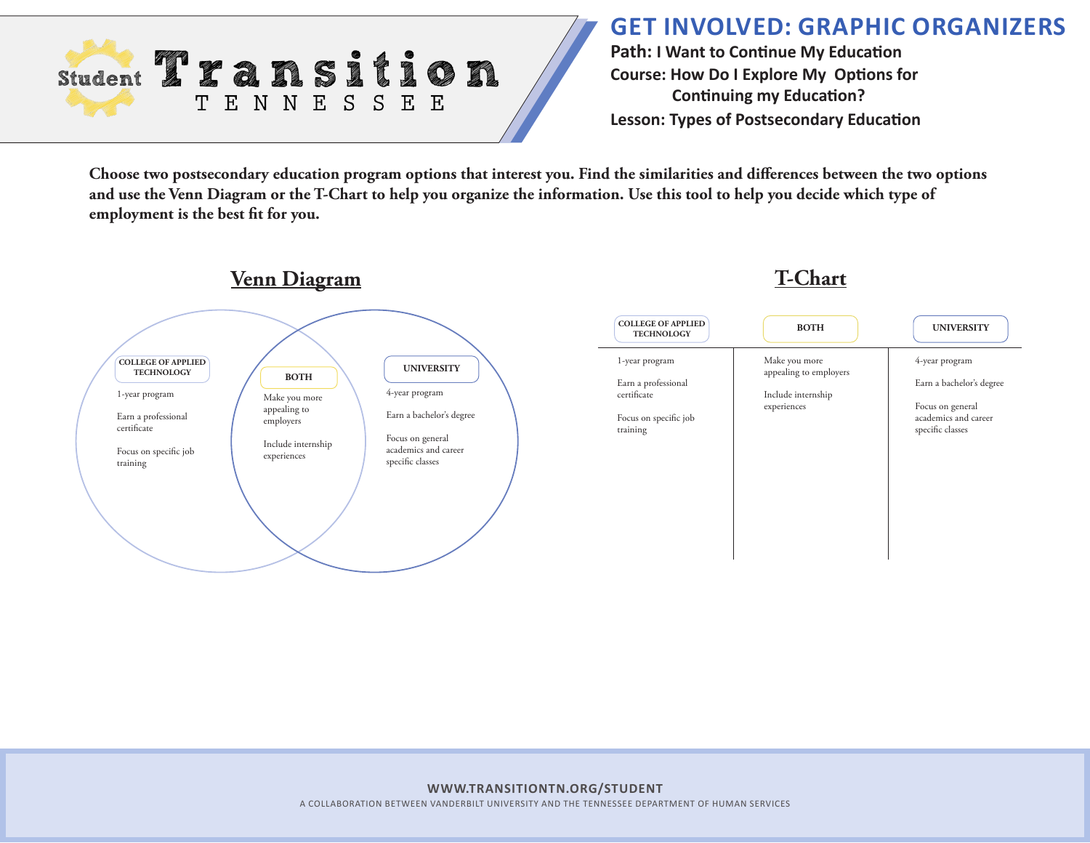

## **GET INVOLVED: GRAPHIC ORGANIZERS**

**Path: I Want to Continue My Education Course: How Do I Explore My Options for Continuing my Education? Lesson: Types of Postsecondary Education**

**Choose two postsecondary education program options that interest you. Find the similarities and differences between the two options and use the Venn Diagram or the T-Chart to help you organize the information. Use this tool to help you decide which type of employment is the best fit for you.** 

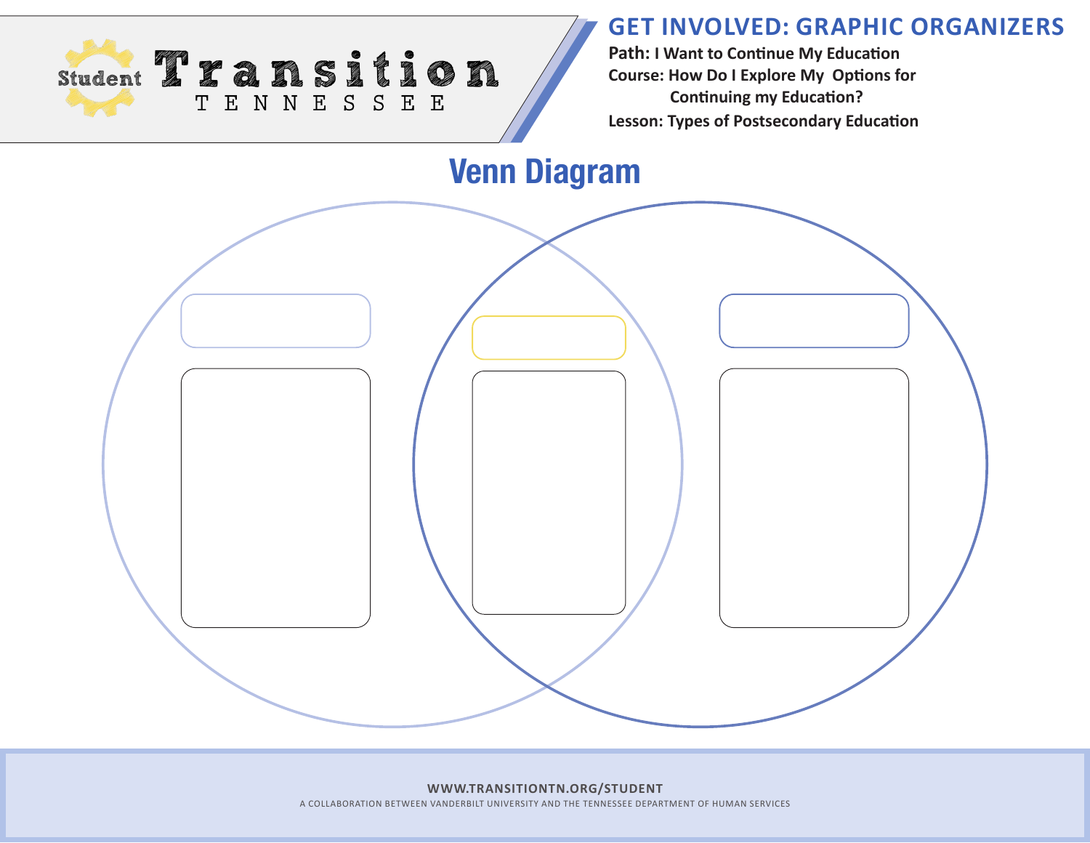## **GET INVOLVED: GRAPHIC ORGANIZERS**



**Path: I Want to Continue My Education Course: How Do I Explore My Options for Continuing my Education? Lesson: Types of Postsecondary Education**

**Venn Diagram**

**WWW.TRANSITIONTN.ORG/STUDENT** A COLLABORATION BETWEEN VANDERBILT UNIVERSITY AND THE TENNESSEE DEPARTMENT OF HUMAN SERVICES